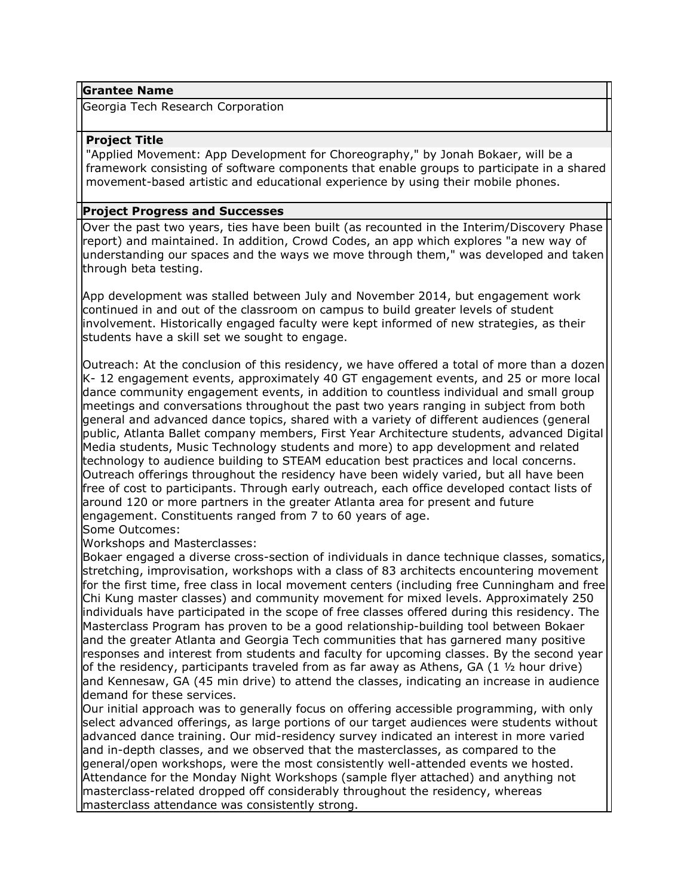### **Grantee Name**

Georgia Tech Research Corporation

## **Project Title**

"Applied Movement: App Development for Choreography," by Jonah Bokaer, will be a framework consisting of software components that enable groups to participate in a shared movement-based artistic and educational experience by using their mobile phones.

### **Project Progress and Successes**

Over the past two years, ties have been built (as recounted in the Interim/Discovery Phase report) and maintained. In addition, Crowd Codes, an app which explores "a new way of understanding our spaces and the ways we move through them," was developed and taken through beta testing.

App development was stalled between July and November 2014, but engagement work continued in and out of the classroom on campus to build greater levels of student involvement. Historically engaged faculty were kept informed of new strategies, as their students have a skill set we sought to engage.

Outreach: At the conclusion of this residency, we have offered a total of more than a dozen K- 12 engagement events, approximately 40 GT engagement events, and 25 or more local dance community engagement events, in addition to countless individual and small group meetings and conversations throughout the past two years ranging in subject from both general and advanced dance topics, shared with a variety of different audiences (general public, Atlanta Ballet company members, First Year Architecture students, advanced Digital Media students, Music Technology students and more) to app development and related technology to audience building to STEAM education best practices and local concerns. Outreach offerings throughout the residency have been widely varied, but all have been free of cost to participants. Through early outreach, each office developed contact lists of around 120 or more partners in the greater Atlanta area for present and future engagement. Constituents ranged from 7 to 60 years of age.

Some Outcomes:

Workshops and Masterclasses:

Bokaer engaged a diverse cross-section of individuals in dance technique classes, somatics, stretching, improvisation, workshops with a class of 83 architects encountering movement for the first time, free class in local movement centers (including free Cunningham and free Chi Kung master classes) and community movement for mixed levels. Approximately 250 individuals have participated in the scope of free classes offered during this residency. The Masterclass Program has proven to be a good relationship-building tool between Bokaer and the greater Atlanta and Georgia Tech communities that has garnered many positive responses and interest from students and faculty for upcoming classes. By the second year of the residency, participants traveled from as far away as Athens, GA (1  $\frac{1}{2}$  hour drive) and Kennesaw, GA (45 min drive) to attend the classes, indicating an increase in audience demand for these services.

Our initial approach was to generally focus on offering accessible programming, with only select advanced offerings, as large portions of our target audiences were students without advanced dance training. Our mid-residency survey indicated an interest in more varied and in-depth classes, and we observed that the masterclasses, as compared to the general/open workshops, were the most consistently well-attended events we hosted. Attendance for the Monday Night Workshops (sample flyer attached) and anything not masterclass-related dropped off considerably throughout the residency, whereas masterclass attendance was consistently strong.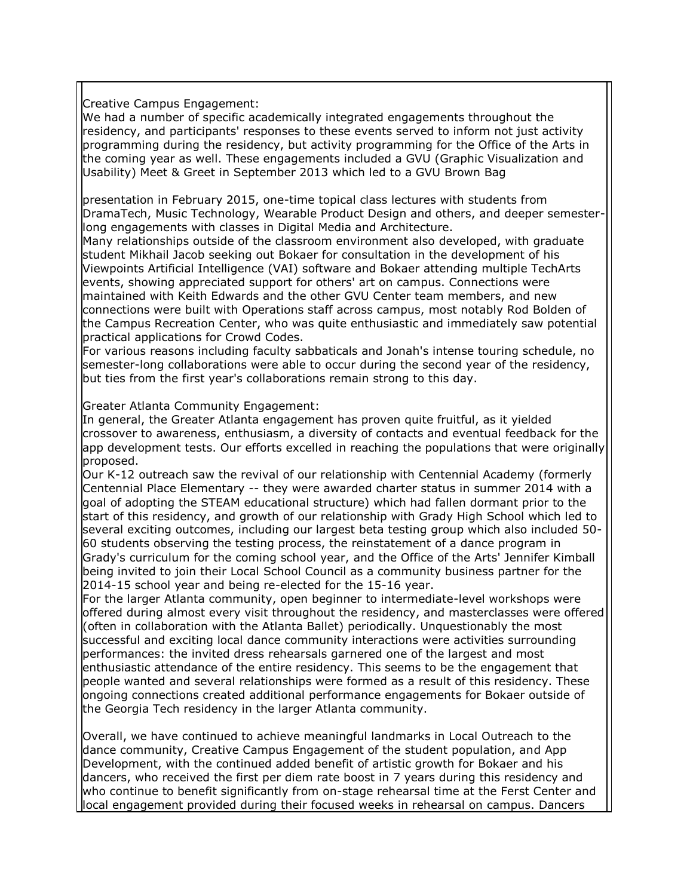Creative Campus Engagement:

We had a number of specific academically integrated engagements throughout the residency, and participants' responses to these events served to inform not just activity programming during the residency, but activity programming for the Office of the Arts in the coming year as well. These engagements included a GVU (Graphic Visualization and Usability) Meet & Greet in September 2013 which led to a GVU Brown Bag

presentation in February 2015, one-time topical class lectures with students from DramaTech, Music Technology, Wearable Product Design and others, and deeper semesterlong engagements with classes in Digital Media and Architecture.

Many relationships outside of the classroom environment also developed, with graduate student Mikhail Jacob seeking out Bokaer for consultation in the development of his Viewpoints Artificial Intelligence (VAI) software and Bokaer attending multiple TechArts events, showing appreciated support for others' art on campus. Connections were maintained with Keith Edwards and the other GVU Center team members, and new connections were built with Operations staff across campus, most notably Rod Bolden of the Campus Recreation Center, who was quite enthusiastic and immediately saw potential practical applications for Crowd Codes.

For various reasons including faculty sabbaticals and Jonah's intense touring schedule, no semester-long collaborations were able to occur during the second year of the residency, but ties from the first year's collaborations remain strong to this day.

Greater Atlanta Community Engagement:

In general, the Greater Atlanta engagement has proven quite fruitful, as it yielded crossover to awareness, enthusiasm, a diversity of contacts and eventual feedback for the app development tests. Our efforts excelled in reaching the populations that were originally proposed.

Our K-12 outreach saw the revival of our relationship with Centennial Academy (formerly Centennial Place Elementary -- they were awarded charter status in summer 2014 with a goal of adopting the STEAM educational structure) which had fallen dormant prior to the start of this residency, and growth of our relationship with Grady High School which led to several exciting outcomes, including our largest beta testing group which also included 50- 60 students observing the testing process, the reinstatement of a dance program in Grady's curriculum for the coming school year, and the Office of the Arts' Jennifer Kimball being invited to join their Local School Council as a community business partner for the 2014-15 school year and being re-elected for the 15-16 year.

For the larger Atlanta community, open beginner to intermediate-level workshops were offered during almost every visit throughout the residency, and masterclasses were offered (often in collaboration with the Atlanta Ballet) periodically. Unquestionably the most successful and exciting local dance community interactions were activities surrounding performances: the invited dress rehearsals garnered one of the largest and most enthusiastic attendance of the entire residency. This seems to be the engagement that people wanted and several relationships were formed as a result of this residency. These ongoing connections created additional performance engagements for Bokaer outside of the Georgia Tech residency in the larger Atlanta community.

Overall, we have continued to achieve meaningful landmarks in Local Outreach to the dance community, Creative Campus Engagement of the student population, and App Development, with the continued added benefit of artistic growth for Bokaer and his dancers, who received the first per diem rate boost in 7 years during this residency and who continue to benefit significantly from on-stage rehearsal time at the Ferst Center and local engagement provided during their focused weeks in rehearsal on campus. Dancers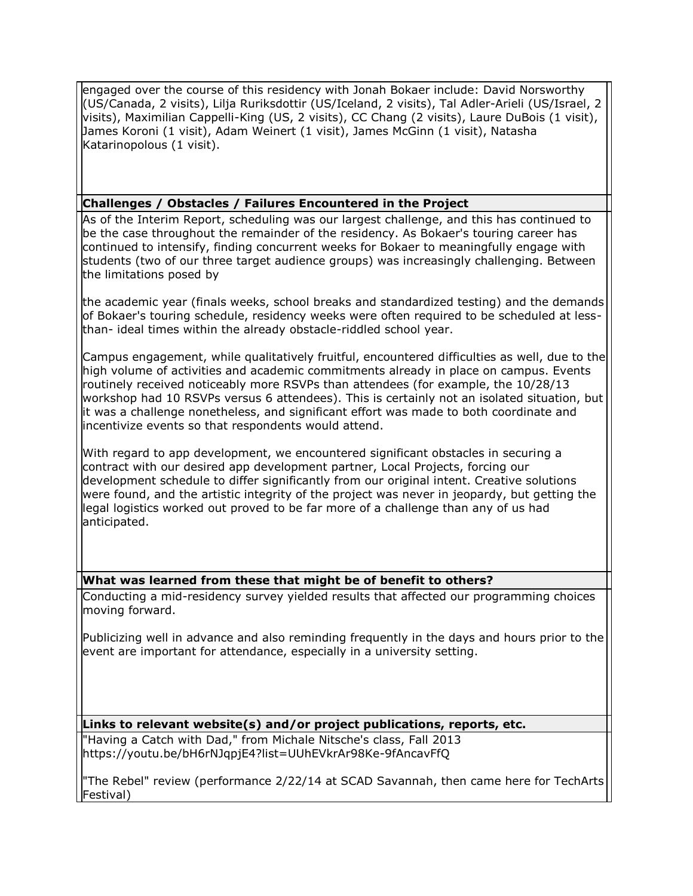engaged over the course of this residency with Jonah Bokaer include: David Norsworthy (US/Canada, 2 visits), Lilja Ruriksdottir (US/Iceland, 2 visits), Tal Adler-Arieli (US/Israel, 2 visits), Maximilian Cappelli-King (US, 2 visits), CC Chang (2 visits), Laure DuBois (1 visit), James Koroni (1 visit), Adam Weinert (1 visit), James McGinn (1 visit), Natasha Katarinopolous (1 visit).

# **Challenges / Obstacles / Failures Encountered in the Project**

As of the Interim Report, scheduling was our largest challenge, and this has continued to be the case throughout the remainder of the residency. As Bokaer's touring career has continued to intensify, finding concurrent weeks for Bokaer to meaningfully engage with students (two of our three target audience groups) was increasingly challenging. Between the limitations posed by

the academic year (finals weeks, school breaks and standardized testing) and the demands of Bokaer's touring schedule, residency weeks were often required to be scheduled at lessthan- ideal times within the already obstacle-riddled school year.

Campus engagement, while qualitatively fruitful, encountered difficulties as well, due to the high volume of activities and academic commitments already in place on campus. Events routinely received noticeably more RSVPs than attendees (for example, the 10/28/13 workshop had 10 RSVPs versus 6 attendees). This is certainly not an isolated situation, but it was a challenge nonetheless, and significant effort was made to both coordinate and incentivize events so that respondents would attend.

With regard to app development, we encountered significant obstacles in securing a contract with our desired app development partner, Local Projects, forcing our development schedule to differ significantly from our original intent. Creative solutions were found, and the artistic integrity of the project was never in jeopardy, but getting the legal logistics worked out proved to be far more of a challenge than any of us had anticipated.

# **What was learned from these that might be of benefit to others?**

Conducting a mid-residency survey yielded results that affected our programming choices moving forward.

Publicizing well in advance and also reminding frequently in the days and hours prior to the event are important for attendance, especially in a university setting.

**Links to relevant website(s) and/or project publications, reports, etc.**

"Having a Catch with Dad," from Michale Nitsche's class, Fall 2013 https://youtu.be/bH6rNJqpjE4?list=UUhEVkrAr98Ke-9fAncavFfQ

"The Rebel" review (performance 2/22/14 at SCAD Savannah, then came here for TechArts Festival)